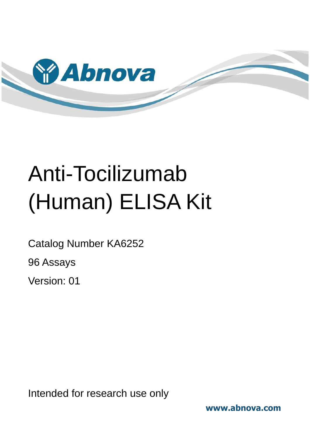

# Anti-Tocilizumab (Human) ELISA Kit

Catalog Number KA6252

96 Assays

Version: 01

Intended for research use only

**www.abnova.com**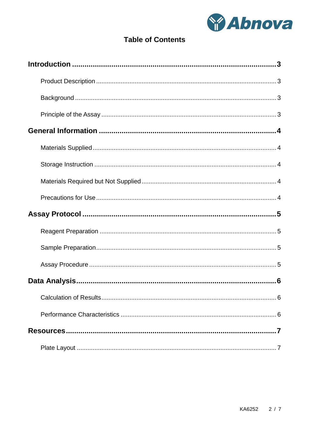

# **Table of Contents**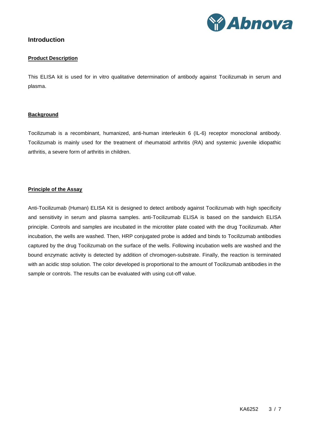

### <span id="page-2-1"></span><span id="page-2-0"></span>**Introduction**

#### **Product Description**

This ELISA kit is used for in vitro qualitative determination of antibody against Tocilizumab in serum and plasma.

#### <span id="page-2-2"></span>**Background**

Tocilizumab is a recombinant, humanized, anti-human interleukin 6 (IL-6) receptor monoclonal antibody. Tocilizumab is mainly used for the treatment of rheumatoid arthritis (RA) and systemic juvenile idiopathic arthritis, a severe form of arthritis in children.

#### <span id="page-2-3"></span>**Principle of the Assay**

Anti-Tocilizumab (Human) ELISA Kit is designed to detect antibody against Tocilizumab with high specificity and sensitivity in serum and plasma samples. anti-Tocilizumab ELISA is based on the sandwich ELISA principle. Controls and samples are incubated in the microtiter plate coated with the drug Tocilizumab. After incubation, the wells are washed. Then, HRP conjugated probe is added and binds to Tocilizumab antibodies captured by the drug Tocilizumab on the surface of the wells. Following incubation wells are washed and the bound enzymatic activity is detected by addition of chromogen-substrate. Finally, the reaction is terminated with an acidic stop solution. The color developed is proportional to the amount of Tocilizumab antibodies in the sample or controls. The results can be evaluated with using cut-off value.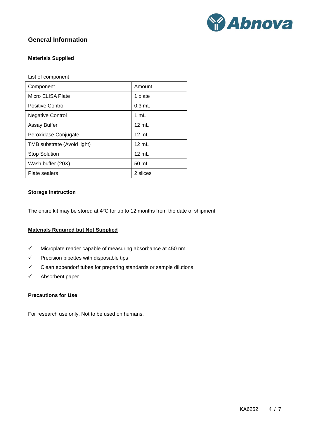

# <span id="page-3-1"></span><span id="page-3-0"></span>**General Information**

#### **Materials Supplied**

List of component

| Component                   | Amount          |  |  |
|-----------------------------|-----------------|--|--|
| Micro ELISA Plate           | 1 plate         |  |  |
| <b>Positive Control</b>     | $0.3$ mL        |  |  |
| <b>Negative Control</b>     | 1 mL            |  |  |
| <b>Assay Buffer</b>         | $12 \text{ mL}$ |  |  |
| Peroxidase Conjugate        | $12 \text{ mL}$ |  |  |
| TMB substrate (Avoid light) | $12 \text{ mL}$ |  |  |
| <b>Stop Solution</b>        | 12 mL           |  |  |
| Wash buffer (20X)           | 50 mL           |  |  |
| Plate sealers               | 2 slices        |  |  |

#### <span id="page-3-2"></span>**Storage Instruction**

<span id="page-3-3"></span>The entire kit may be stored at 4°C for up to 12 months from the date of shipment.

#### **Materials Required but Not Supplied**

- $\checkmark$  Microplate reader capable of measuring absorbance at 450 nm
- $\checkmark$  Precision pipettes with disposable tips
- $\checkmark$  Clean eppendorf tubes for preparing standards or sample dilutions
- <span id="page-3-4"></span> $\checkmark$  Absorbent paper

#### **Precautions for Use**

For research use only. Not to be used on humans.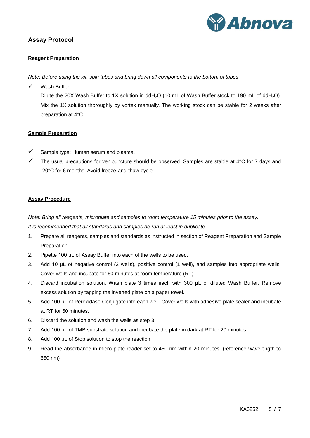

# <span id="page-4-1"></span><span id="page-4-0"></span>**Assay Protocol**

#### **Reagent Preparation**

*Note: Before using the kit, spin tubes and bring down all components to the bottom of tubes*

 $\checkmark$  Wash Buffer:

Dilute the 20X Wash Buffer to 1X solution in ddH<sub>2</sub>O (10 mL of Wash Buffer stock to 190 mL of ddH<sub>2</sub>O). Mix the 1X solution thoroughly by vortex manually. The working stock can be stable for 2 weeks after preparation at 4°C.

#### <span id="page-4-2"></span>**Sample Preparation**

- Sample type: Human serum and plasma.
- $\checkmark$  The usual precautions for venipuncture should be observed. Samples are stable at 4°C for 7 days and -20°C for 6 months. Avoid freeze-and-thaw cycle.

#### <span id="page-4-3"></span>**Assay Procedure**

*Note: Bring all reagents, microplate and samples to room temperature 15 minutes prior to the assay.*

*It is recommended that all standards and samples be run at least in duplicate.*

- 1. Prepare all reagents, samples and standards as instructed in section of Reagent Preparation and Sample Preparation.
- 2. Pipette 100 μL of Assay Buffer into each of the wells to be used.
- 3. Add 10 μL of negative control (2 wells), positive control (1 well), and samples into appropriate wells. Cover wells and incubate for 60 minutes at room temperature (RT).
- 4. Discard incubation solution. Wash plate 3 times each with 300 μL of diluted Wash Buffer. Remove excess solution by tapping the inverted plate on a paper towel.
- 5. Add 100 μL of Peroxidase Conjugate into each well. Cover wells with adhesive plate sealer and incubate at RT for 60 minutes.
- 6. Discard the solution and wash the wells as step 3.
- 7. Add 100 μL of TMB substrate solution and incubate the plate in dark at RT for 20 minutes
- 8. Add 100 µL of Stop solution to stop the reaction
- 9. Read the absorbance in micro plate reader set to 450 nm within 20 minutes. (reference wavelength to 650 nm)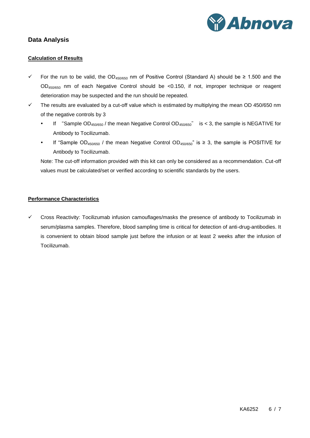

# <span id="page-5-1"></span><span id="page-5-0"></span>**Data Analysis**

#### **Calculation of Results**

- For the run to be valid, the OD450/650 nm of Positive Control (Standard A) should be ≥ 1.500 and the OD450/650 nm of each Negative Control should be <0.150, if not, improper technique or reagent deterioration may be suspected and the run should be repeated.
- $\checkmark$  The results are evaluated by a cut-off value which is estimated by multiplying the mean OD 450/650 nm of the negative controls by 3
	- If "Sample  $OD_{450/650}$  / the mean Negative Control  $OD_{450/650}$ " is < 3, the sample is NEGATIVE for Antibody to Tocilizumab.
	- If "Sample OD<sub>450/650</sub> / the mean Negative Control OD<sub>450/650</sub>" is ≥ 3, the sample is POSITIVE for Antibody to Tocilizumab.

Note: The cut-off information provided with this kit can only be considered as a recommendation. Cut-off values must be calculated/set or verified according to scientific standards by the users.

#### <span id="page-5-2"></span>**Performance Characteristics**

 $\checkmark$  Cross Reactivity: Tocilizumab infusion camouflages/masks the presence of antibody to Tocilizumab in serum/plasma samples. Therefore, blood sampling time is critical for detection of anti-drug-antibodies. It is convenient to obtain blood sample just before the infusion or at least 2 weeks after the infusion of Tocilizumab.